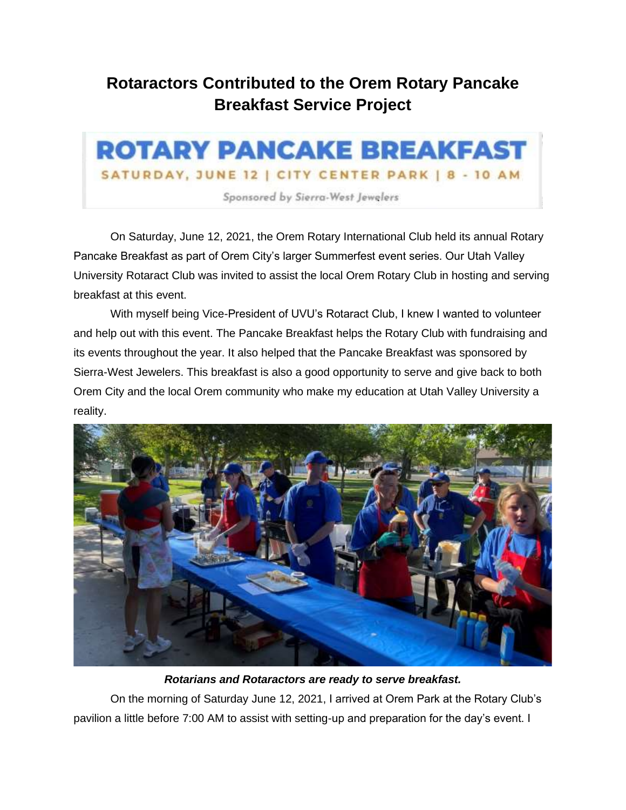## **Rotaractors Contributed to the Orem Rotary Pancake Breakfast Service Project**



On Saturday, June 12, 2021, the Orem Rotary International Club held its annual Rotary Pancake Breakfast as part of Orem City's larger Summerfest event series. Our Utah Valley University Rotaract Club was invited to assist the local Orem Rotary Club in hosting and serving breakfast at this event.

With myself being Vice-President of UVU's Rotaract Club, I knew I wanted to volunteer and help out with this event. The Pancake Breakfast helps the Rotary Club with fundraising and its events throughout the year. It also helped that the Pancake Breakfast was sponsored by Sierra-West Jewelers. This breakfast is also a good opportunity to serve and give back to both Orem City and the local Orem community who make my education at Utah Valley University a reality.



*Rotarians and Rotaractors are ready to serve breakfast.*

On the morning of Saturday June 12, 2021, I arrived at Orem Park at the Rotary Club's pavilion a little before 7:00 AM to assist with setting-up and preparation for the day's event. I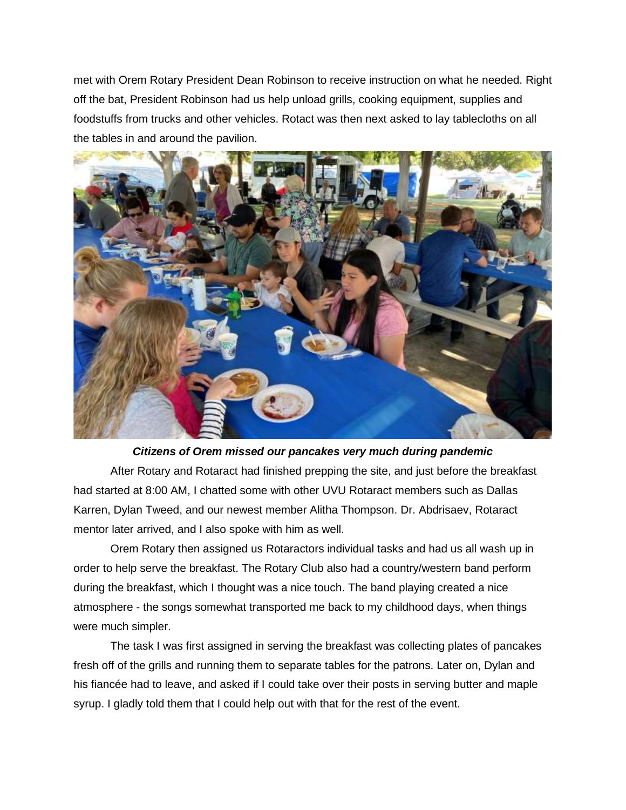met with Orem Rotary President Dean Robinson to receive instruction on what he needed. Right off the bat, President Robinson had us help unload grills, cooking equipment, supplies and foodstuffs from trucks and other vehicles. Rotact was then next asked to lay tablecloths on all the tables in and around the pavilion.



## *Citizens of Orem missed our pancakes very much during pandemic*

After Rotary and Rotaract had finished prepping the site, and just before the breakfast had started at 8:00 AM, I chatted some with other UVU Rotaract members such as Dallas Karren, Dylan Tweed, and our newest member Alitha Thompson. Dr. Abdrisaev, Rotaract mentor later arrived, and I also spoke with him as well.

Orem Rotary then assigned us Rotaractors individual tasks and had us all wash up in order to help serve the breakfast. The Rotary Club also had a country/western band perform during the breakfast, which I thought was a nice touch. The band playing created a nice atmosphere - the songs somewhat transported me back to my childhood days, when things were much simpler.

The task I was first assigned in serving the breakfast was collecting plates of pancakes fresh off of the grills and running them to separate tables for the patrons. Later on, Dylan and his fiancée had to leave, and asked if I could take over their posts in serving butter and maple syrup. I gladly told them that I could help out with that for the rest of the event.